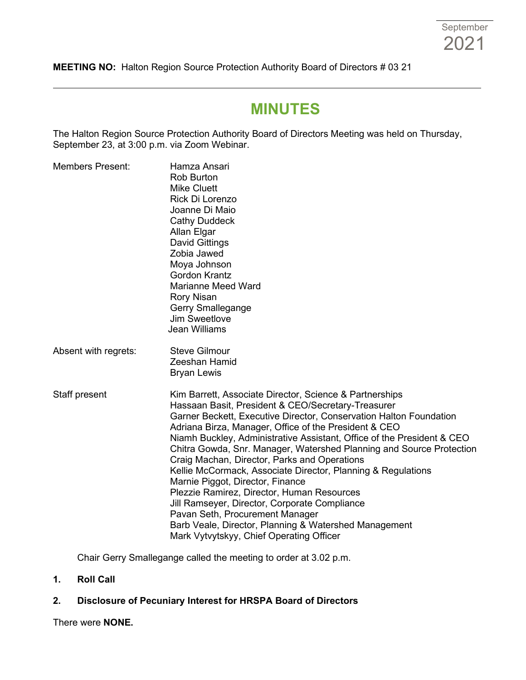**MEETING NO:** Halton Region Source Protection Authority Board of Directors # 03 21

# **MINUTES**

The Halton Region Source Protection Authority Board of Directors Meeting was held on Thursday, September 23, at 3:00 p.m. via Zoom Webinar.

| <b>Members Present:</b> | Hamza Ansari<br><b>Rob Burton</b><br><b>Mike Cluett</b><br>Rick Di Lorenzo<br>Joanne Di Maio<br><b>Cathy Duddeck</b><br>Allan Elgar<br><b>David Gittings</b><br>Zobia Jawed<br>Moya Johnson<br><b>Gordon Krantz</b><br><b>Marianne Meed Ward</b><br><b>Rory Nisan</b><br>Gerry Smallegange<br>Jim Sweetlove<br>Jean Williams                                                                                                                                                                                                                                                                                                                                                                                                                                                              |  |
|-------------------------|-------------------------------------------------------------------------------------------------------------------------------------------------------------------------------------------------------------------------------------------------------------------------------------------------------------------------------------------------------------------------------------------------------------------------------------------------------------------------------------------------------------------------------------------------------------------------------------------------------------------------------------------------------------------------------------------------------------------------------------------------------------------------------------------|--|
| Absent with regrets:    | <b>Steve Gilmour</b><br>Zeeshan Hamid<br><b>Bryan Lewis</b>                                                                                                                                                                                                                                                                                                                                                                                                                                                                                                                                                                                                                                                                                                                               |  |
| Staff present           | Kim Barrett, Associate Director, Science & Partnerships<br>Hassaan Basit, President & CEO/Secretary-Treasurer<br>Garner Beckett, Executive Director, Conservation Halton Foundation<br>Adriana Birza, Manager, Office of the President & CEO<br>Niamh Buckley, Administrative Assistant, Office of the President & CEO<br>Chitra Gowda, Snr. Manager, Watershed Planning and Source Protection<br>Craig Machan, Director, Parks and Operations<br>Kellie McCormack, Associate Director, Planning & Regulations<br>Marnie Piggot, Director, Finance<br>Plezzie Ramirez, Director, Human Resources<br>Jill Ramseyer, Director, Corporate Compliance<br>Pavan Seth, Procurement Manager<br>Barb Veale, Director, Planning & Watershed Management<br>Mark Vytvytskyy, Chief Operating Officer |  |

Chair Gerry Smallegange called the meeting to order at 3.02 p.m.

**1. Roll Call**

## **2. Disclosure of Pecuniary Interest for HRSPA Board of Directors**

There were **NONE.**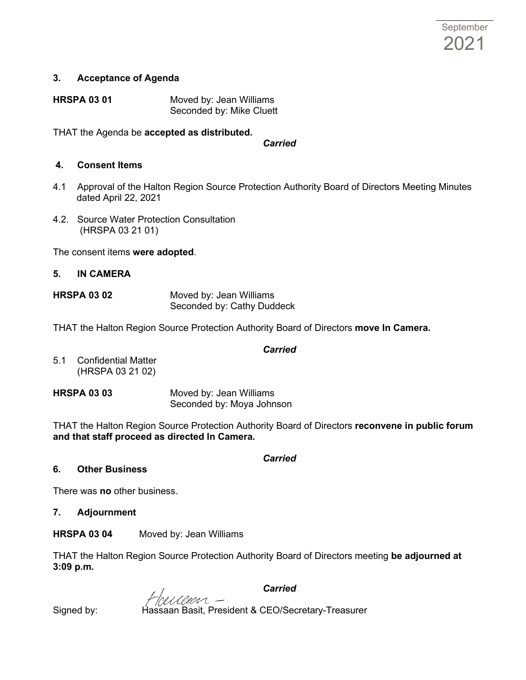### **3. Acceptance of Agenda**

| <b>HRSPA 03 01</b> | Moved by: Jean Williams  |
|--------------------|--------------------------|
|                    | Seconded by: Mike Cluett |

THAT the Agenda be **accepted as distributed.**

*Carried*

#### **4. Consent Items**

- 4.1 Approval of the Halton Region Source Protection Authority Board of Directors Meeting Minutes dated April 22, 2021
- 4.2. Source Water Protection Consultation (HRSPA 03 21 01)

The consent items **were adopted**.

### **5. IN CAMERA**

**HRSPA 03 02** Moved by: Jean Williams Seconded by: Cathy Duddeck

THAT the Halton Region Source Protection Authority Board of Directors **move In Camera.** 

#### *Carried*

5.1 Confidential Matter (HRSPA 03 21 02)

**HRSPA 03 03** Moved by: Jean Williams Seconded by: Moya Johnson

THAT the Halton Region Source Protection Authority Board of Directors **reconvene in public forum and that staff proceed as directed In Camera.**

*Carried*

### **6. Other Business**

There was **no** other business.

**7. Adjournment**

**HRSPA 03 04** Moved by: Jean Williams

THAT the Halton Region Source Protection Authority Board of Directors meeting **be adjourned at 3:09 p.m.**

*Carried*

Signed by: Hassaan Basit, President & CEO/Secretary-Treasurer